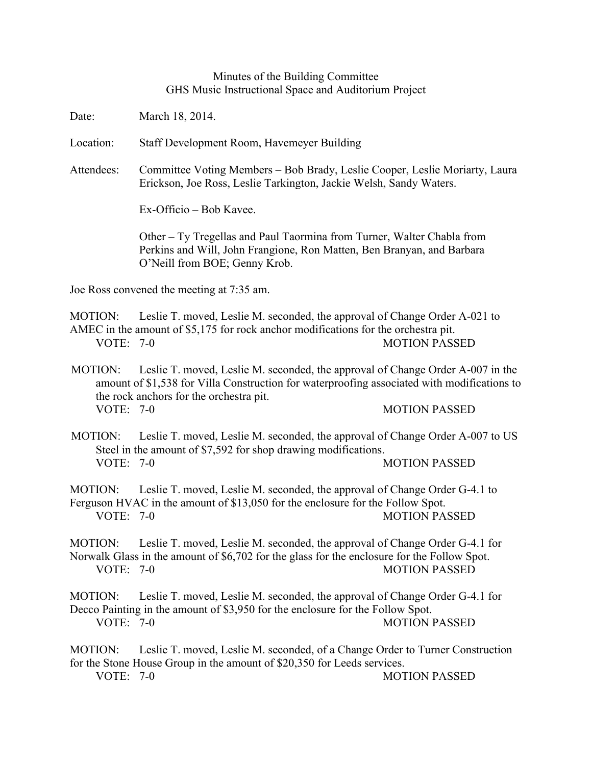## Minutes of the Building Committee GHS Music Instructional Space and Auditorium Project

Date: March 18, 2014.

Location: Staff Development Room, Havemeyer Building

Attendees: Committee Voting Members – Bob Brady, Leslie Cooper, Leslie Moriarty, Laura Erickson, Joe Ross, Leslie Tarkington, Jackie Welsh, Sandy Waters.

Ex-Officio – Bob Kavee.

Other – Ty Tregellas and Paul Taormina from Turner, Walter Chabla from Perkins and Will, John Frangione, Ron Matten, Ben Branyan, and Barbara O'Neill from BOE; Genny Krob.

Joe Ross convened the meeting at 7:35 am.

MOTION: Leslie T. moved, Leslie M. seconded, the approval of Change Order A-021 to AMEC in the amount of \$5,175 for rock anchor modifications for the orchestra pit. VOTE: 7-0 MOTION PASSED

MOTION: Leslie T. moved, Leslie M. seconded, the approval of Change Order A-007 in the amount of \$1,538 for Villa Construction for waterproofing associated with modifications to the rock anchors for the orchestra pit. VOTE: 7-0 MOTION PASSED

MOTION: Leslie T. moved, Leslie M. seconded, the approval of Change Order A-007 to US Steel in the amount of \$7,592 for shop drawing modifications. VOTE: 7-0 MOTION PASSED

MOTION: Leslie T. moved, Leslie M. seconded, the approval of Change Order G-4.1 to Ferguson HVAC in the amount of \$13,050 for the enclosure for the Follow Spot. VOTE: 7-0 MOTION PASSED

MOTION: Leslie T. moved, Leslie M. seconded, the approval of Change Order G-4.1 for Norwalk Glass in the amount of \$6,702 for the glass for the enclosure for the Follow Spot. VOTE: 7-0 MOTION PASSED

MOTION: Leslie T. moved, Leslie M. seconded, the approval of Change Order G-4.1 for Decco Painting in the amount of \$3,950 for the enclosure for the Follow Spot. VOTE: 7-0 MOTION PASSED

MOTION: Leslie T. moved, Leslie M. seconded, of a Change Order to Turner Construction for the Stone House Group in the amount of \$20,350 for Leeds services. VOTE: 7-0 MOTION PASSED